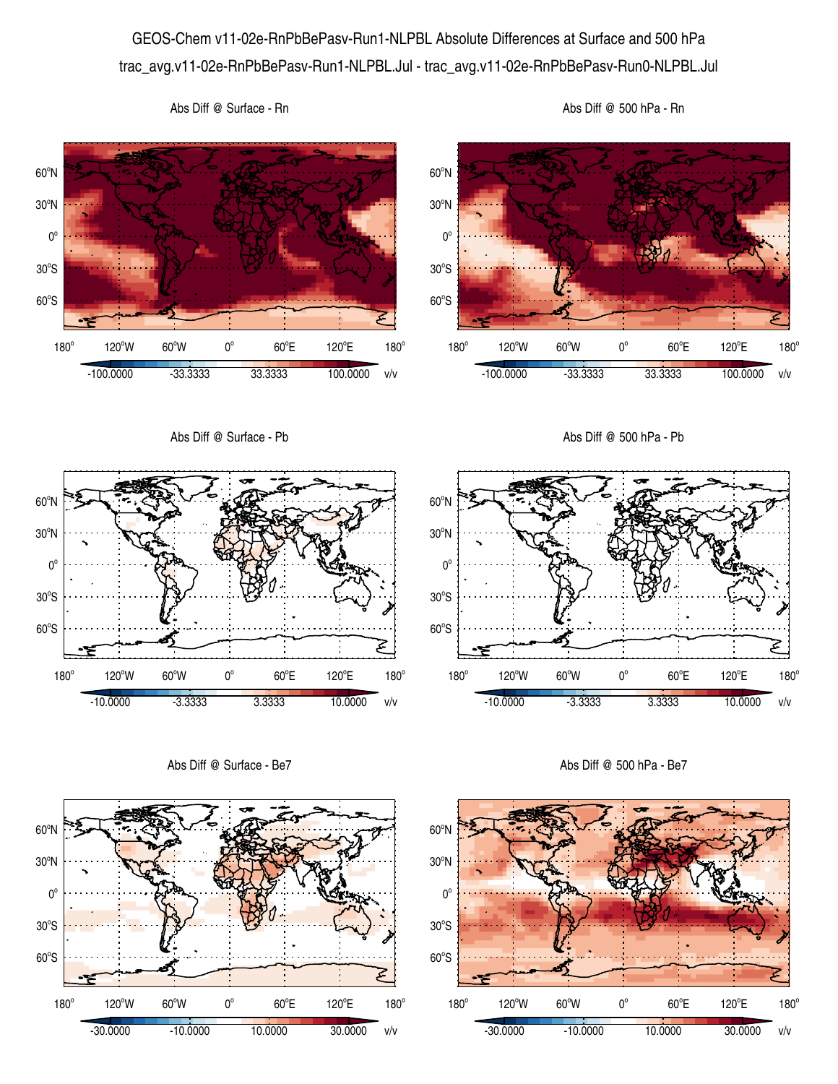## GEOS-Chem v11-02e-RnPbBePasv-Run1-NLPBL Absolute Differences at Surface and 500 hPa trac\_avg.v11-02e-RnPbBePasv-Run1-NLPBL.Jul - trac\_avg.v11-02e-RnPbBePasv-Run0-NLPBL.Jul





Abs Diff @ 500 hPa - Rn



Abs Diff @ Surface - Rn